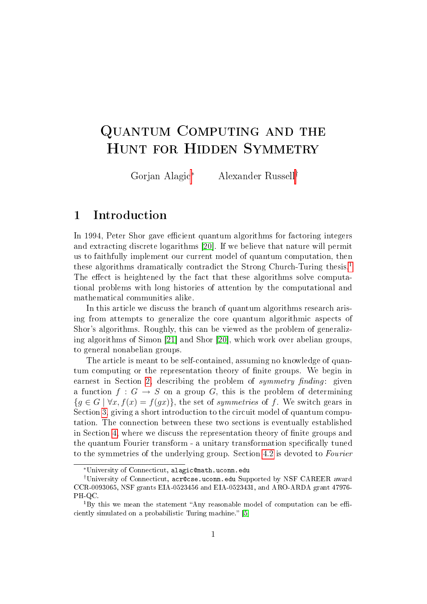# Quantum Computing and the Hunt for Hidden Symmetry

Gorjan Alagic<sup>∗</sup> Alexander Russell†

### 1 Introduction

In 1994, Peter Shor gave efficient quantum algorithms for factoring integers and extracting discrete logarithms [\[20\]](#page-23-0). If we believe that nature will permit us to faithfully implement our current model of quantum computation, then these algorithms dramatically contradict the Strong Church-Turing thesis.[1](#page-0-0) The effect is heightened by the fact that these algorithms solve computational problems with long histories of attention by the computational and mathematical communities alike.

In this article we discuss the branch of quantum algorithms research arising from attempts to generalize the core quantum algorithmic aspects of Shor's algorithms. Roughly, this can be viewed as the problem of generalizing algorithms of Simon [\[21\]](#page-23-1) and Shor [\[20\]](#page-23-0), which work over abelian groups, to general nonabelian groups.

The article is meant to be self-contained, assuming no knowledge of quantum computing or the representation theory of finite groups. We begin in earnest in Section [2,](#page-1-0) describing the problem of symmetry finding: given a function  $f: G \to S$  on a group G, this is the problem of determining  ${g \in G \mid \forall x, f(x) = f(gx)}$ , the set of *symmetries* of f. We switch gears in Section [3,](#page-5-0) giving a short introduction to the circuit model of quantum computation. The connection between these two sections is eventually established in Section [4,](#page-8-0) where we discuss the representation theory of finite groups and the quantum Fourier transform - a unitary transformation specifically tuned to the symmetries of the underlying group. Section [4.2](#page-11-0) is devoted to Fourier

<sup>∗</sup>University of Connecticut, alagic@math.uconn.edu

<sup>†</sup>University of Connecticut, acr@cse.uconn.edu Supported by NSF CAREER award CCR-0093065, NSF grants EIA-0523456 and EIA-0523431, and ARO-ARDA grant 47976- PH-QC.

<span id="page-0-0"></span> ${}^{1}$ By this we mean the statement "Any reasonable model of computation can be effi-ciently simulated on a probabilistic Turing machine." [\[5\]](#page-21-0)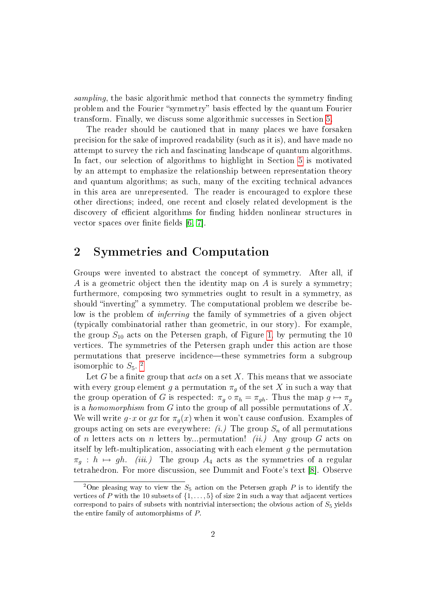sampling, the basic algorithmic method that connects the symmetry finding problem and the Fourier "symmetry" basis effected by the quantum Fourier transform. Finally, we discuss some algorithmic successes in Section [5.](#page-14-0)

The reader should be cautioned that in many places we have forsaken precision for the sake of improved readability (such as it is), and have made no attempt to survey the rich and fascinating landscape of quantum algorithms. In fact, our selection of algorithms to highlight in Section [5](#page-14-0) is motivated by an attempt to emphasize the relationship between representation theory and quantum algorithms; as such, many of the exciting technical advances in this area are unrepresented. The reader is encouraged to explore these other directions; indeed, one recent and closely related development is the discovery of efficient algorithms for finding hidden nonlinear structures in vector spaces over finite fields  $[6, 7]$  $[6, 7]$ .

# <span id="page-1-0"></span>2 Symmetries and Computation

Groups were invented to abstract the concept of symmetry. After all, if A is a geometric object then the identity map on A is surely a symmetry; furthermore, composing two symmetries ought to result in a symmetry, as should "inverting" a symmetry. The computational problem we describe below is the problem of inferring the family of symmetries of a given object (typically combinatorial rather than geometric, in our story). For example, the group  $S_{10}$  acts on the Petersen graph, of Figure [1,](#page-2-0) by permuting the 10 vertices. The symmetries of the Petersen graph under this action are those permutations that preserve incidence—these symmetries form a subgroup isomorphic to  $S_5$ .<sup>[2](#page-1-1)</sup>

Let G be a finite group that *acts* on a set X. This means that we associate with every group element g a permutation  $\pi_g$  of the set X in such a way that the group operation of G is respected:  $\pi_g \circ \pi_h = \pi_{gh}$ . Thus the map  $g \mapsto \pi_g$ is a homomorphism from G into the group of all possible permutations of X. We will write  $g \cdot x$  or  $gx$  for  $\pi_g(x)$  when it won't cause confusion. Examples of groups acting on sets are everywhere:  $(i.)$  The group  $S_n$  of all permutations of n letters acts on n letters by...permutation! *(ii.)* Any group G acts on itself by left-multiplication, associating with each element  $g$  the permutation  $\pi_a : h \mapsto gh$ . *(iii.)* The group  $A_4$  acts as the symmetries of a regular tetrahedron. For more discussion, see Dummit and Foote's text [\[8\]](#page-22-2). Observe

<span id="page-1-1"></span><sup>&</sup>lt;sup>2</sup>One pleasing way to view the  $S_5$  action on the Petersen graph P is to identify the vertices of P with the 10 subsets of  $\{1, \ldots, 5\}$  of size 2 in such a way that adjacent vertices correspond to pairs of subsets with nontrivial intersection; the obvious action of  $S_5$  yields the entire family of automorphisms of P.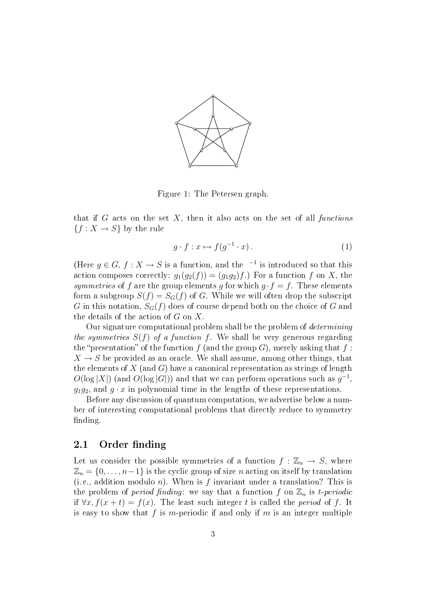

<span id="page-2-0"></span>Figure 1: The Petersen graph.

that if G acts on the set  $X$ , then it also acts on the set of all functions  ${f: X \to S}$  by the rule

<span id="page-2-1"></span>
$$
g \cdot f : x \mapsto f(g^{-1} \cdot x). \tag{1}
$$

(Here  $g \in G$ ,  $f : X \to S$  is a function, and the <sup>-1</sup> is introduced so that this action composes correctly:  $g_1(g_2(f)) = (g_1g_2)f$ . For a function f on X, the symmetries of f are the group elements g for which  $g \cdot f = f$ . These elements form a subgroup  $S(f) = S_G(f)$  of G. While we will often drop the subscript G in this notation,  $S_G(f)$  does of course depend both on the choice of G and the details of the action of  $G$  on  $X$ .

Our signature computational problem shall be the problem of determining the symmetries  $S(f)$  of a function f. We shall be very generous regarding the "presentation" of the function f (and the group G), merely asking that f:  $X \to S$  be provided as an oracle. We shall assume, among other things, that the elements of  $X$  (and G) have a canonical representation as strings of length  $O(\log |X|)$  (and  $O(\log |G|)$ ) and that we can perform operations such as  $g^{-1}$ ,  $q_1q_2$ , and  $q \cdot x$  in polynomial time in the lengths of these representations.

Before any discussion of quantum computation, we advertise below a number of interesting computational problems that directly reduce to symmetry finding.

### 2.1 Order finding

Let us consider the possible symmetries of a function  $f : \mathbb{Z}_n \to S$ , where  $\mathbb{Z}_n = \{0, \ldots, n-1\}$  is the cyclic group of size n acting on itself by translation (i.e., addition modulo n). When is f invariant under a translation? This is the problem of *period finding*: we say that a function f on  $\mathbb{Z}_n$  is t-periodic if  $\forall x, f(x + t) = f(x)$ . The least such integer t is called the *period* of f. It is easy to show that f is m-periodic if and only if m is an integer multiple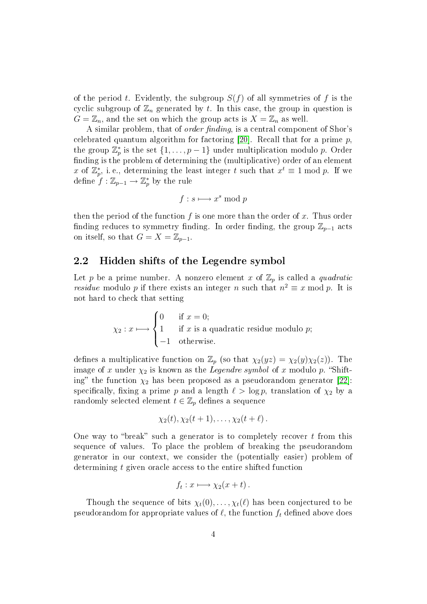of the period t. Evidently, the subgroup  $S(f)$  of all symmetries of f is the cyclic subgroup of  $\mathbb{Z}_n$  generated by t. In this case, the group in question is  $G = \mathbb{Z}_n$ , and the set on which the group acts is  $X = \mathbb{Z}_n$  as well.

A similar problem, that of *order finding*, is a central component of Shor's celebrated quantum algorithm for factoring  $[20]$ . Recall that for a prime  $p$ , the group  $\mathbb{Z}_p^*$  is the set  $\{1,\ldots,p-1\}$  under multiplication modulo p. Order finding is the problem of determining the (multiplicative) order of an element x of  $\mathbb{Z}_p^*$ , i.e., determining the least integer t such that  $x^t \equiv 1 \bmod p$ . If we define  $f: \mathbb{Z}_{p-1} \rightarrow \mathbb{Z}_p^*$  by the rule

$$
f:s\longmapsto x^s\bmod p
$$

then the period of the function f is one more than the order of x. Thus order finding reduces to symmetry finding. In order finding, the group  $\mathbb{Z}_{p-1}$  acts on itself, so that  $G = X = \mathbb{Z}_{p-1}$ .

### 2.2 Hidden shifts of the Legendre symbol

Let p be a prime number. A nonzero element x of  $\mathbb{Z}_p$  is called a quadratic *residue* modulo p if there exists an integer n such that  $n^2 \equiv x \mod p$ . It is not hard to check that setting

$$
\chi_2: x \longmapsto \begin{cases} 0 & \text{if } x = 0; \\ 1 & \text{if } x \text{ is a quadratic residue modulo } p; \\ -1 & \text{otherwise.} \end{cases}
$$

defines a multiplicative function on  $\mathbb{Z}_p$  (so that  $\chi_2(yz) = \chi_2(y)\chi_2(z)$ ). The image of x under  $\chi_2$  is known as the *Legendre symbol* of x modulo p. "Shifting" the function  $\chi_2$  has been proposed as a pseudorandom generator [\[22\]](#page-23-2): specifically, fixing a prime p and a length  $\ell > \log p$ , translation of  $\chi_2$  by a randomly selected element  $t \in \mathbb{Z}_p$  defines a sequence

$$
\chi_2(t), \chi_2(t+1), \ldots, \chi_2(t+\ell).
$$

One way to "break" such a generator is to completely recover  $t$  from this sequence of values. To place the problem of breaking the pseudorandom generator in our context, we consider the (potentially easier) problem of determining t given oracle access to the entire shifted function

$$
f_t: x \longmapsto \chi_2(x+t) \, .
$$

Though the sequence of bits  $\chi_t(0), \ldots, \chi_t(\ell)$  has been conjectured to be pseudorandom for appropriate values of  $\ell$ , the function  $f_t$  defined above does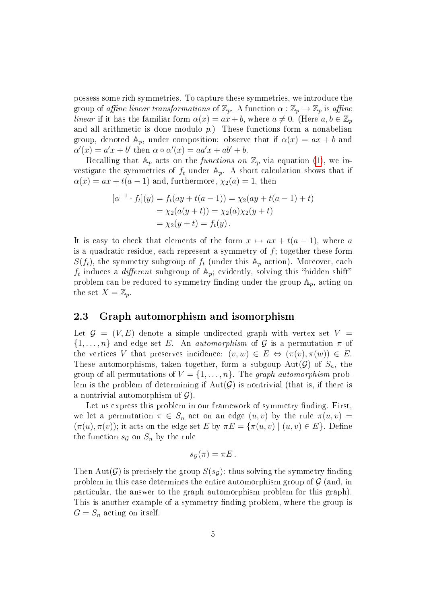possess some rich symmetries. To capture these symmetries, we introduce the group of affine linear transformations of  $\mathbb{Z}_p$ . A function  $\alpha : \mathbb{Z}_p \to \mathbb{Z}_p$  is affine linear if it has the familiar form  $\alpha(x) = ax + b$ , where  $a \neq 0$ . (Here  $a, b \in \mathbb{Z}_p$ and all arithmetic is done modulo  $p$ .) These functions form a nonabelian group, denoted  $\mathbb{A}_p$ , under composition: observe that if  $\alpha(x) = ax + b$  and  $\alpha'(x) = a'x + b'$  then  $\alpha \circ \alpha'(x) = aa'x + ab' + b$ .

Recalling that  $A_p$  acts on the *functions on*  $\mathbb{Z}_p$  via equation [\(1\)](#page-2-1), we investigate the symmetries of  $f_t$  under  $\mathbb{A}_p$ . A short calculation shows that if  $\alpha(x) = ax + t(a-1)$  and, furthermore,  $\chi_2(a) = 1$ , then

$$
[\alpha^{-1} \cdot f_t](y) = f_t(ay + t(a-1)) = \chi_2(ay + t(a-1) + t)
$$
  
=  $\chi_2(a(y+t)) = \chi_2(a)\chi_2(y+t)$   
=  $\chi_2(y+t) = f_t(y)$ .

It is easy to check that elements of the form  $x \mapsto ax + t(a - 1)$ , where a is a quadratic residue, each represent a symmetry of  $f$ ; together these form  $S(f_t)$ , the symmetry subgroup of  $f_t$  (under this  $A_p$  action). Moreover, each  $f_t$  induces a *different* subgroup of  $\mathbb{A}_p$ ; evidently, solving this "hidden shift" problem can be reduced to symmetry finding under the group  $A_p$ , acting on the set  $X=\mathbb{Z}_p$ .

#### <span id="page-4-0"></span>2.3 Graph automorphism and isomorphism

Let  $\mathcal{G} = (V, E)$  denote a simple undirected graph with vertex set  $V =$  $\{1,\ldots,n\}$  and edge set E. An *automorphism* of G is a permutation  $\pi$  of the vertices V that preserves incidence:  $(v, w) \in E \Leftrightarrow (\pi(v), \pi(w)) \in E$ . These automorphisms, taken together, form a subgoup Aut $(\mathcal{G})$  of  $S_n$ , the group of all permutations of  $V = \{1, \ldots, n\}$ . The graph automorphism problem is the problem of determining if  $Aut(\mathcal{G})$  is nontrivial (that is, if there is a nontrivial automorphism of  $\mathcal{G}$ ).

Let us express this problem in our framework of symmetry finding. First, we let a permutation  $\pi \in S_n$  act on an edge  $(u, v)$  by the rule  $\pi(u, v)$  =  $(\pi(u), \pi(v));$  it acts on the edge set E by  $\pi E = {\pi(u, v) | (u, v) \in E}.$  Define the function  $s_{\mathcal{G}}$  on  $S_n$  by the rule

$$
s_{\mathcal{G}}(\pi)=\pi E.
$$

Then Aut(G) is precisely the group  $S(s_G)$ : thus solving the symmetry finding problem in this case determines the entire automorphism group of  $\mathcal G$  (and, in particular, the answer to the graph automorphism problem for this graph). This is another example of a symmetry finding problem, where the group is  $G = S_n$  acting on itself.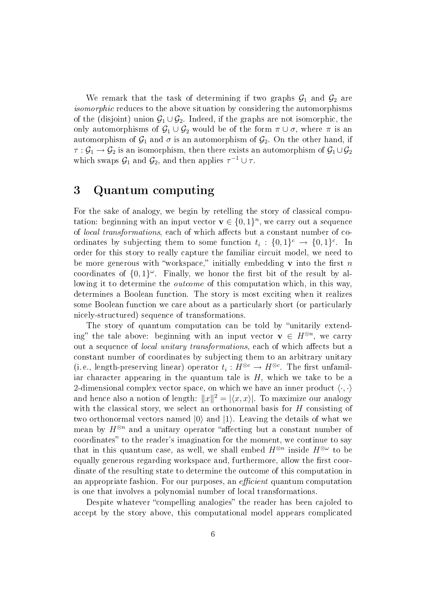We remark that the task of determining if two graphs  $G_1$  and  $G_2$  are isomorphic reduces to the above situation by considering the automorphisms of the (disjoint) union  $\mathcal{G}_1 \cup \mathcal{G}_2$ . Indeed, if the graphs are not isomorphic, the only automorphisms of  $\mathcal{G}_1 \cup \mathcal{G}_2$  would be of the form  $\pi \cup \sigma$ , where  $\pi$  is an automorphism of  $\mathcal{G}_1$  and  $\sigma$  is an automorphism of  $\mathcal{G}_2$ . On the other hand, if  $\tau: \mathcal{G}_1 \to \mathcal{G}_2$  is an isomorphism, then there exists an automorphism of  $\mathcal{G}_1 \cup \mathcal{G}_2$ which swaps  $\mathcal{G}_1$  and  $\mathcal{G}_2$ , and then applies  $\tau^{-1} \cup \tau$ .

## <span id="page-5-0"></span>3 Quantum computing

For the sake of analogy, we begin by retelling the story of classical computation: beginning with an input vector  $\mathbf{v} \in \{0,1\}^n$ , we carry out a sequence of *local transformations*, each of which affects but a constant number of coordinates by subjecting them to some function  $t_i: \{0,1\}^c \rightarrow \{0,1\}^c$ . In order for this story to really capture the familiar circuit model, we need to be more generous with "workspace," initially embedding **v** into the first n coordinates of  $\{0,1\}^\omega$ . Finally, we honor the first bit of the result by allowing it to determine the *outcome* of this computation which, in this way, determines a Boolean function. The story is most exciting when it realizes some Boolean function we care about as a particularly short (or particularly nicely-structured) sequence of transformations.

The story of quantum computation can be told by "unitarily extending" the tale above: beginning with an input vector  $\mathbf{v} \in H^{\otimes n}$ , we carry out a sequence of *local unitary transformations*, each of which affects but a constant number of coordinates by subjecting them to an arbitrary unitary (i.e., length-preserving linear) operator  $t_i: H^{\otimes c} \to H^{\otimes c}$ . The first unfamiliar character appearing in the quantum tale is  $H$ , which we take to be a 2-dimensional complex vector space, on which we have an inner product  $\langle \cdot, \cdot \rangle$ and hence also a notion of length:  $||x||^2 = |\langle x, x \rangle|$ . To maximize our analogy with the classical story, we select an orthonormal basis for  $H$  consisting of two orthonormal vectors named  $|0\rangle$  and  $|1\rangle$ . Leaving the details of what we mean by  $H^{\otimes n}$  and a unitary operator "affecting but a constant number of coordinates" to the reader's imagination for the moment, we continue to say that in this quantum case, as well, we shall embed  $H^{\otimes n}$  inside  $H^{\otimes \omega}$  to be equally generous regarding workspace and, furthermore, allow the first coordinate of the resulting state to determine the outcome of this computation in an appropriate fashion. For our purposes, an *efficient* quantum computation is one that involves a polynomial number of local transformations.

Despite whatever "compelling analogies" the reader has been cajoled to accept by the story above, this computational model appears complicated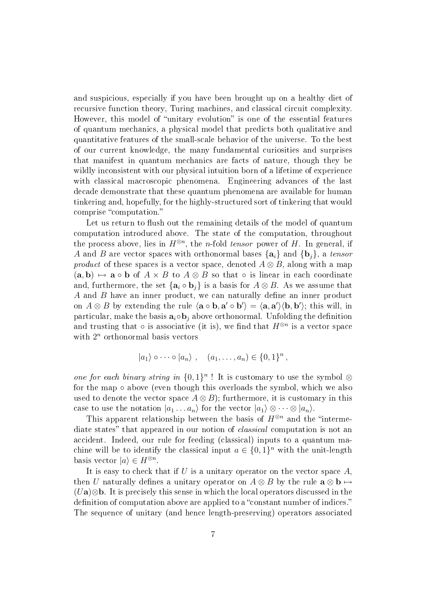and suspicious, especially if you have been brought up on a healthy diet of recursive function theory, Turing machines, and classical circuit complexity. However, this model of "unitary evolution" is one of the essential features of quantum mechanics, a physical model that predicts both qualitative and quantitative features of the small-scale behavior of the universe. To the best of our current knowledge, the many fundamental curiosities and surprises that manifest in quantum mechanics are facts of nature, though they be wildly inconsistent with our physical intuition born of a lifetime of experience with classical macroscopic phenomena. Engineering advances of the last decade demonstrate that these quantum phenomena are available for human tinkering and, hopefully, for the highly-structured sort of tinkering that would comprise "computation."

Let us return to flush out the remaining details of the model of quantum computation introduced above. The state of the computation, throughout the process above, lies in  $H^{\otimes n}$ , the *n*-fold *tensor* power of H. In general, if A and B are vector spaces with orthonormal bases  $\{a_i\}$  and  $\{b_j\}$ , a tensor product of these spaces is a vector space, denoted  $A \otimes B$ , along with a map  $(a, b) \mapsto a \circ b$  of  $A \times B$  to  $A \otimes B$  so that  $\circ$  is linear in each coordinate and, furthermore, the set  $\{a_i \circ b_j\}$  is a basis for  $A \otimes B$ . As we assume that  $A$  and  $B$  have an inner product, we can naturally define an inner product on  $A \otimes B$  by extending the rule  $\langle a \circ b, a' \circ b' \rangle = \langle a, a' \rangle \langle b, b' \rangle$ ; this will, in particular, make the basis  $a_i \circ b_j$  above orthonormal. Unfolding the definition and trusting that  $\circ$  is associative (it is), we find that  $H^{\otimes n}$  is a vector space with  $2^n$  orthonormal basis vectors

$$
|a_1\rangle \circ \cdots \circ |a_n\rangle , \quad (a_1, \ldots, a_n) \in \{0,1\}^n ,
$$

one for each binary string in  $\{0,1\}^n$ ! It is customary to use the symbol  $\otimes$ for the map ∘ above (even though this overloads the symbol, which we also used to denote the vector space  $A \otimes B$ ); furthermore, it is customary in this case to use the notation  $|a_1 \ldots a_n\rangle$  for the vector  $|a_1\rangle \otimes \cdots \otimes |a_n\rangle$ .

This apparent relationship between the basis of  $H^{\otimes n}$  and the "intermediate states" that appeared in our notion of *classical* computation is not an accident. Indeed, our rule for feeding (classical) inputs to a quantum machine will be to identify the classical input  $a \in \{0,1\}^n$  with the unit-length basis vector  $|a\rangle \in H^{\otimes n}$ .

It is easy to check that if  $U$  is a unitary operator on the vector space  $A$ , then U naturally defines a unitary operator on  $A \otimes B$  by the rule  $\mathbf{a} \otimes \mathbf{b} \mapsto$  $(Ua)$ ⊗b. It is precisely this sense in which the local operators discussed in the definition of computation above are applied to a "constant number of indices." The sequence of unitary (and hence length-preserving) operators associated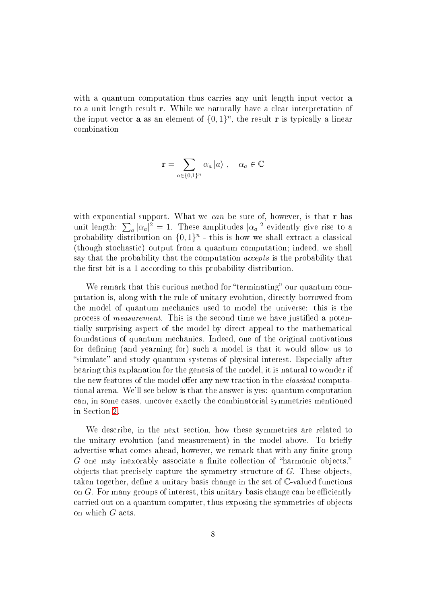with a quantum computation thus carries any unit length input vector **a** to a unit length result r. While we naturally have a clear interpretation of the input vector **a** as an element of  $\{0,1\}^n$ , the result **r** is typically a linear combination

$$
\mathbf{r} = \sum_{a \in \{0,1\}^n} \alpha_a \ket{a}, \quad \alpha_a \in \mathbb{C}
$$

with exponential support. What we can be sure of, however, is that  $r$  has unit length:  $\sum_a |\alpha_a|^2 = 1$ . These amplitudes  $|\alpha_a|^2$  evidently give rise to a probability distribution on  $\{0,1\}^n$  - this is how we shall extract a classical (though stochastic) output from a quantum computation; indeed, we shall say that the probability that the computation accepts is the probability that the first bit is a 1 according to this probability distribution.

We remark that this curious method for "terminating" our quantum computation is, along with the rule of unitary evolution, directly borrowed from the model of quantum mechanics used to model the universe: this is the process of *measurement*. This is the second time we have justified a potentially surprising aspect of the model by direct appeal to the mathematical foundations of quantum mechanics. Indeed, one of the original motivations for defining (and yearning for) such a model is that it would allow us to "simulate" and study quantum systems of physical interest. Especially after hearing this explanation for the genesis of the model, it is natural to wonder if the new features of the model offer any new traction in the *classical* computational arena. We'll see below is that the answer is yes: quantum computation can, in some cases, uncover exactly the combinatorial symmetries mentioned in Section [2.](#page-1-0)

We describe, in the next section, how these symmetries are related to the unitary evolution (and measurement) in the model above. To briefly advertise what comes ahead, however, we remark that with any finite group  $G$  one may inexorably associate a finite collection of "harmonic objects," objects that precisely capture the symmetry structure of G. These objects, taken together, define a unitary basis change in the set of  $\mathbb C$ -valued functions on  $G$ . For many groups of interest, this unitary basis change can be efficiently carried out on a quantum computer, thus exposing the symmetries of objects on which G acts.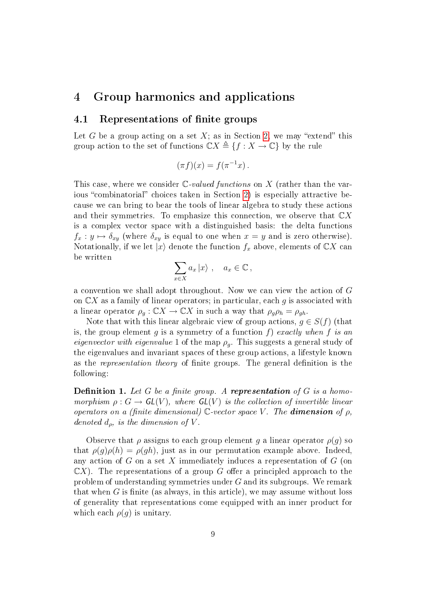### <span id="page-8-0"></span>4 Group harmonics and applications

### <span id="page-8-1"></span>4.1 Representations of finite groups

Let G be a group acting on a set  $X$ ; as in Section [2,](#page-1-0) we may "extend" this group action to the set of functions  $\mathbb{C} X \triangleq \{f : X \to \mathbb{C}\}\$  by the rule

$$
(\pi f)(x) = f(\pi^{-1}x).
$$

This case, where we consider  $\mathbb{C}\text{-}valued functions$  on X (rather than the var-ious "combinatorial" choices taken in Section [2\)](#page-1-0) is especially attractive because we can bring to bear the tools of linear algebra to study these actions and their symmetries. To emphasize this connection, we observe that  $\mathbb{C}X$ is a complex vector space with a distinguished basis: the delta functions  $f_x : y \mapsto \delta_{xy}$  (where  $\delta_{xy}$  is equal to one when  $x = y$  and is zero otherwise). Notationally, if we let  $|x\rangle$  denote the function  $f_x$  above, elements of  $\mathbb{C}X$  can be written

$$
\sum_{x \in X} a_x \, |x\rangle \ , \quad a_x \in \mathbb{C} \,,
$$

a convention we shall adopt throughout. Now we can view the action of G on  $\mathbb{C}X$  as a family of linear operators; in particular, each g is associated with a linear operator  $\rho_q : \mathbb{C} X \to \mathbb{C} X$  in such a way that  $\rho_q \rho_h = \rho_{q h}$ .

Note that with this linear algebraic view of group actions,  $g \in S(f)$  (that is, the group element g is a symmetry of a function f) exactly when f is an eigenvector with eigenvalue 1 of the map  $\rho_q$ . This suggests a general study of the eigenvalues and invariant spaces of these group actions, a lifestyle known as the *representation theory* of finite groups. The general definition is the following:

**Definition 1.** Let G be a finite group. A representation of G is a homomorphism  $\rho: G \to GL(V)$ , where  $GL(V)$  is the collection of invertible linear operators on a (finite dimensional) C-vector space V. The **dimension** of  $\rho$ , denoted  $d_{\rho}$ , is the dimension of V.

Observe that  $\rho$  assigns to each group element g a linear operator  $\rho(g)$  so that  $\rho(q)\rho(h) = \rho(qh)$ , just as in our permutation example above. Indeed, any action of  $G$  on a set X immediately induces a representation of  $G$  (on  $\mathbb{C}X$ ). The representations of a group G offer a principled approach to the problem of understanding symmetries under  $G$  and its subgroups. We remark that when  $G$  is finite (as always, in this article), we may assume without loss of generality that representations come equipped with an inner product for which each  $\rho(g)$  is unitary.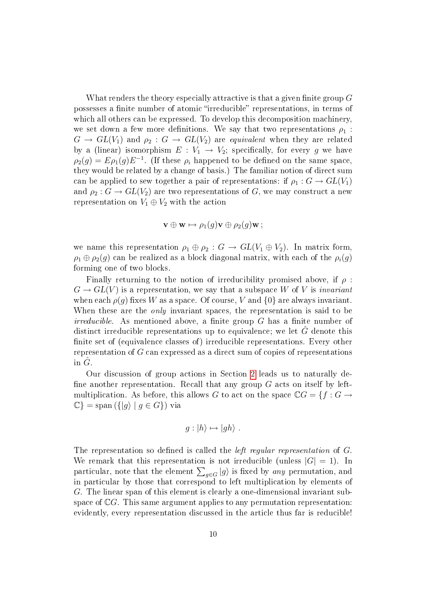What renders the theory especially attractive is that a given finite group  $G$ possesses a finite number of atomic "irreducible" representations, in terms of which all others can be expressed. To develop this decomposition machinery, we set down a few more definitions. We say that two representations  $\rho_1$ :  $G \to GL(V_1)$  and  $\rho_2: G \to GL(V_2)$  are equivalent when they are related by a (linear) isomorphism  $E: V_1 \rightarrow V_2$ ; specifically, for every g we have  $\rho_2(g) = E \rho_1(g) E^{-1}$ . (If these  $\rho_i$  happened to be defined on the same space, they would be related by a change of basis.) The familiar notion of direct sum can be applied to sew together a pair of representations: if  $\rho_1 : G \to GL(V_1)$ and  $\rho_2: G \to GL(V_2)$  are two representations of G, we may construct a new representation on  $V_1 \oplus V_2$  with the action

$$
\mathbf{v}\oplus\mathbf{w}\mapsto\rho_1(g)\mathbf{v}\oplus\rho_2(g)\mathbf{w}\,;
$$

we name this representation  $\rho_1 \oplus \rho_2 : G \to GL(V_1 \oplus V_2)$ . In matrix form,  $\rho_1 \oplus \rho_2(g)$  can be realized as a block diagonal matrix, with each of the  $\rho_i(g)$ forming one of two blocks.

Finally returning to the notion of irreducibility promised above, if  $\rho$ :  $G \to GL(V)$  is a representation, we say that a subspace W of V is *invariant* when each  $\rho(g)$  fixes W as a space. Of course, V and  $\{0\}$  are always invariant. When these are the *only* invariant spaces, the representation is said to be  $irreducible.$  As mentioned above, a finite group  $G$  has a finite number of distinct irreducible representations up to equivalence; we let  $\tilde{G}$  denote this finite set of (equivalence classes of) irreducible representations. Every other representation of G can expressed as a direct sum of copies of representations in  $G$ .

Our discussion of group actions in Section [2](#page-1-0) leads us to naturally de fine another representation. Recall that any group  $G$  acts on itself by leftmultiplication. As before, this allows G to act on the space  $\mathbb{C}G = \{f : G \rightarrow$  $\mathbb{C}$ } = span  $({|g\rangle | g \in G})$  via

$$
g: |h\rangle \mapsto |gh\rangle .
$$

The representation so defined is called the *left regular representation* of G. We remark that this representation is not irreducible (unless  $|G| = 1$ ). In particular, note that the element  $\sum_{g \in G} \ket{g}$  is fixed by *any* permutation, and in particular by those that correspond to left multiplication by elements of G. The linear span of this element is clearly a one-dimensional invariant subspace of  $\mathbb{C}G$ . This same argument applies to any permutation representation: evidently, every representation discussed in the article thus far is reducible!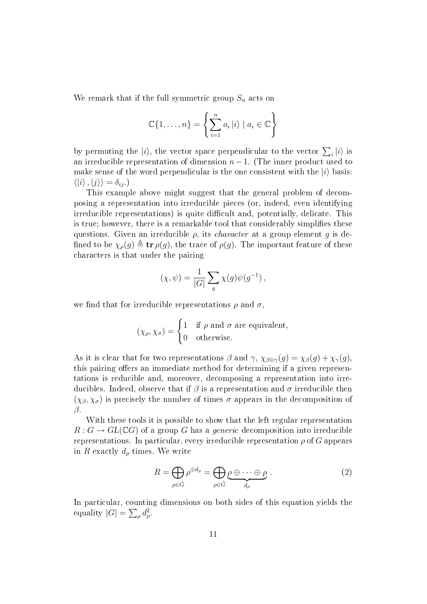We remark that if the full symmetric group  $S_n$  acts on

$$
\mathbb{C}\{1,\ldots,n\} = \left\{\sum_{i=1}^n a_i \, |i\rangle \mid a_i \in \mathbb{C}\right\}
$$

by permuting the  $|i\rangle$ , the vector space perpendicular to the vector  $\sum_i |i\rangle$  is an irreducible representation of dimension  $n-1$ . (The inner product used to make sense of the word perpendicular is the one consistent with the  $|i\rangle$  basis:  $\langle |i\rangle, |j\rangle \rangle = \delta_{ij}$ .)

This example above might suggest that the general problem of decomposing a representation into irreducible pieces (or, indeed, even identifying irreducible representations) is quite difficult and, potentially, delicate. This is true; however, there is a remarkable tool that considerably simplies these questions. Given an irreducible  $\rho$ , its *character* at a group element g is defined to be  $\chi_{\rho}(g) \triangleq \text{tr}\,\rho(g)$ , the trace of  $\rho(g)$ . The important feature of these characters is that under the pairing

$$
(\chi, \psi) = \frac{1}{|G|} \sum_{g} \chi(g) \psi(g^{-1}),
$$

we find that for irreducible representations  $\rho$  and  $\sigma$ ,

$$
(\chi_{\rho}, \chi_{\sigma}) = \begin{cases} 1 & \text{if } \rho \text{ and } \sigma \text{ are equivalent,} \\ 0 & \text{otherwise.} \end{cases}
$$

As it is clear that for two representations  $\beta$  and  $\gamma$ ,  $\chi_{\beta \oplus \gamma}(g) = \chi_{\beta}(g) + \chi_{\gamma}(g)$ , this pairing offers an immediate method for determining if a given representations is reducible and, moreover, decomposing a representation into irreducibles. Indeed, observe that if  $\beta$  is a representation and  $\sigma$  irreducible then  $(\chi_{\beta}, \chi_{\sigma})$  is precisely the number of times  $\sigma$  appears in the decomposition of β.

With these tools it is possible to show that the left regular representation  $R: G \to GL(\mathbb{C} G)$  of a group G has a *generic* decomposition into irreducible representations. In particular, every irreducible representation  $\rho$  of G appears in R exactly  $d_{\rho}$  times. We write

<span id="page-10-0"></span>
$$
R = \bigoplus_{\rho \in \hat{G}} \rho^{\oplus d_{\rho}} = \bigoplus_{\rho \in \hat{G}} \underbrace{\rho \oplus \cdots \oplus \rho}_{d_{\rho}}.
$$
 (2)

In particular, counting dimensions on both sides of this equation yields the equality  $|G| = \sum_{\rho} d_{\rho}^2$ .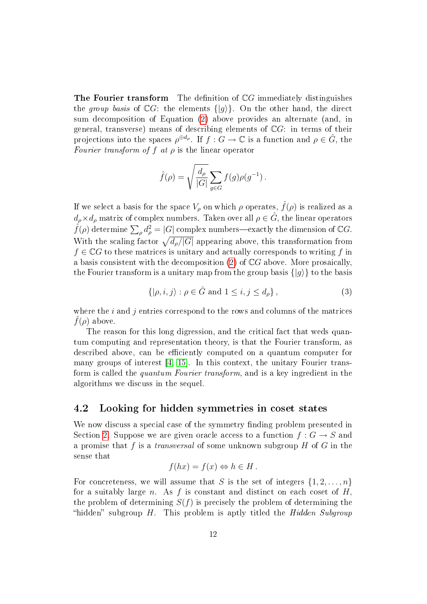**The Fourier transform** The definition of  $\mathbb{C}G$  immediately distinguishes the group basis of  $\mathbb{C}G$ : the elements  $\{|g\rangle\}$ . On the other hand, the direct sum decomposition of Equation [\(2\)](#page-10-0) above provides an alternate (and, in general, transverse) means of describing elements of  $\mathbb{C}G$ : in terms of their projections into the spaces  $\rho^{\oplus d_{\rho}}$ . If  $f: G \to \mathbb{C}$  is a function and  $\rho \in \hat{G}$ , the Fourier transform of f at  $\rho$  is the linear operator

$$
\hat{f}(\rho) = \sqrt{\frac{d_{\rho}}{|G|}} \sum_{g \in G} f(g) \rho(g^{-1}).
$$

If we select a basis for the space  $V_\rho$  on which  $\rho$  operates,  $\hat{f}(\rho)$  is realized as a  $d_{\rho} \times d_{\rho}$  matrix of complex numbers. Taken over all  $\rho \in \hat{G}$ , the linear operators  $\hat{f}(\rho)$  determine  $\sum_{\rho}d_{\rho}^{2}=|G|$  complex numbers—exactly the dimension of  $\mathbb{C}G.$ With the scaling factor  $\sqrt{d_{\rho}/|G|}$  appearing above, this transformation from  $f \in \mathbb{C}$  to these matrices is unitary and actually corresponds to writing f in a basis consistent with the decomposition  $(2)$  of  $\mathbb{C}G$  above. More prosaically, the Fourier transform is a unitary map from the group basis  $\{|q\rangle\}$  to the basis

$$
\{|\rho, i, j\rangle : \rho \in \hat{G} \text{ and } 1 \le i, j \le d_{\rho}\},\tag{3}
$$

where the  $i$  and  $j$  entries correspond to the rows and columns of the matrices  $f(\rho)$  above.

The reason for this long digression, and the critical fact that weds quantum computing and representation theory, is that the Fourier transform, as described above, can be efficiently computed on a quantum computer for many groups of interest  $\vert 4, 15 \vert$ . In this context, the unitary Fourier transform is called the quantum Fourier transform, and is a key ingredient in the algorithms we discuss in the sequel.

### <span id="page-11-0"></span>4.2 Looking for hidden symmetries in coset states

We now discuss a special case of the symmetry finding problem presented in Section [2.](#page-1-0) Suppose we are given oracle access to a function  $f: G \to S$  and a promise that  $f$  is a *transversal* of some unknown subgroup  $H$  of  $G$  in the sense that

$$
f(hx) = f(x) \Leftrightarrow h \in H.
$$

For concreteness, we will assume that S is the set of integers  $\{1, 2, \ldots, n\}$ for a suitably large n. As f is constant and distinct on each coset of  $H$ , the problem of determining  $S(f)$  is precisely the problem of determining the "hidden" subgroup  $H$ . This problem is aptly titled the Hidden Subgroup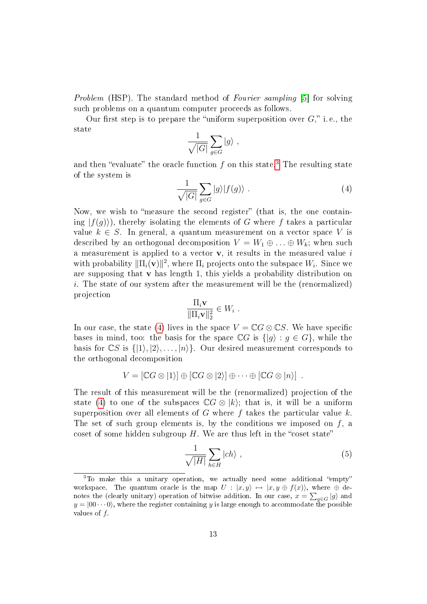Problem (HSP). The standard method of Fourier sampling [\[5\]](#page-21-0) for solving such problems on a quantum computer proceeds as follows.

Our first step is to prepare the "uniform superposition over  $G$ ," i.e., the state

$$
\frac{1}{\sqrt{|G|}}\sum_{g\in G}|g\rangle ,
$$

and then "evaluate" the oracle function f on this state.<sup>[3](#page-12-0)</sup> The resulting state of the system is

<span id="page-12-1"></span>
$$
\frac{1}{\sqrt{|G|}}\sum_{g\in G}|g\rangle|f(g)\rangle\ .
$$
 (4)

Now, we wish to "measure the second register" (that is, the one containing  $|f(q)\rangle$ , thereby isolating the elements of G where f takes a particular value  $k \in S$ . In general, a quantum measurement on a vector space V is described by an orthogonal decomposition  $V = W_1 \oplus \ldots \oplus W_k$ ; when such a measurement is applied to a vector  $v$ , it results in the measured value  $i$ with probability  $\|\Pi_i(\mathbf{v})\|^2$ , where  $\Pi_i$  projects onto the subspace  $W_i$ . Since we are supposing that  $\bf{v}$  has length 1, this yields a probability distribution on i. The state of our system after the measurement will be the (renormalized) projection

$$
\frac{\Pi_i \mathbf{v}}{\|\Pi_i \mathbf{v}\|_2^2} \in W_i .
$$

In our case, the state [\(4\)](#page-12-1) lives in the space  $V = \mathbb{C}G \otimes \mathbb{C}S$ . We have specific bases in mind, too: the basis for the space  $\mathbb{C}G$  is  $\{|g\rangle : g \in G\}$ , while the basis for  $\mathbb{C}S$  is  $\{|1\rangle, |2\rangle, \ldots, |n\rangle\}$ . Our desired measurement corresponds to the orthogonal decomposition

$$
V = [\mathbb{C} G \otimes |1\rangle] \oplus [\mathbb{C} G \otimes |2\rangle] \oplus \cdots \oplus [\mathbb{C} G \otimes |n\rangle].
$$

The result of this measurement will be the (renormalized) projection of the state [\(4\)](#page-12-1) to one of the subspaces  $\mathbb{C}G \otimes |k\rangle$ ; that is, it will be a uniform superposition over all elements of G where f takes the particular value  $k$ . The set of such group elements is, by the conditions we imposed on  $f$ , a coset of some hidden subgroup  $H$ . We are thus left in the "coset state"

<span id="page-12-2"></span>
$$
\frac{1}{\sqrt{|H|}} \sum_{h \in H} |ch\rangle , \qquad (5)
$$

<span id="page-12-0"></span><sup>&</sup>lt;sup>3</sup>To make this a unitary operation, we actually need some additional "empty" workspace. The quantum oracle is the map  $U : |x, y\rangle \mapsto |x, y \oplus f(x)\rangle$ , where  $\oplus$  denotes the (clearly unitary) operation of bitwise addition. In our case,  $x = \sum_{g \in G} |g\rangle$  and  $y = |00\cdots0\rangle,$  where the register containing  $y$  is large enough to accommodate the possible values of  $f$ .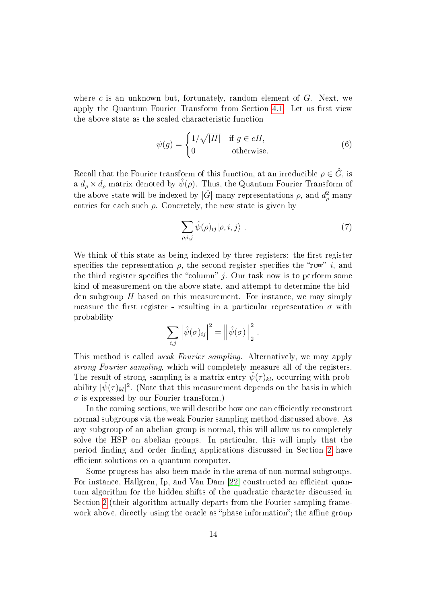where c is an unknown but, fortunately, random element of  $G$ . Next, we apply the Quantum Fourier Transform from Section [4.1.](#page-8-1) Let us first view the above state as the scaled characteristic function

$$
\psi(g) = \begin{cases} 1/\sqrt{|H|} & \text{if } g \in cH, \\ 0 & \text{otherwise.} \end{cases}
$$
(6)

Recall that the Fourier transform of this function, at an irreducible  $\rho \in \hat{G}$ , is a  $d_{\rho} \times d_{\rho}$  matrix denoted by  $\psi(\rho)$ . Thus, the Quantum Fourier Transform of the above state will be indexed by  $|\hat{G}|$ -many representations  $\rho$ , and  $d_{\rho}^2$ -many entries for each such  $\rho$ . Concretely, the new state is given by

$$
\sum_{\rho,i,j} \hat{\psi}(\rho)_{ij} |\rho,i,j\rangle . \tag{7}
$$

We think of this state as being indexed by three registers: the first register specifies the representation  $\rho$ , the second register specifies the "row" i, and the third register specifies the "column"  $j$ . Our task now is to perform some kind of measurement on the above state, and attempt to determine the hidden subgroup  $H$  based on this measurement. For instance, we may simply measure the first register - resulting in a particular representation  $\sigma$  with probability

$$
\sum_{i,j} \left| \hat{\psi}(\sigma)_{ij} \right|^2 = \left\| \hat{\psi}(\sigma) \right\|_2^2.
$$

This method is called weak Fourier sampling. Alternatively, we may apply strong Fourier sampling, which will completely measure all of the registers. The result of strong sampling is a matrix entry  $\hat{\psi}(\tau)_{kl}$ , occurring with probability  $|\hat{\psi}(\tau)_{kl}|^2$ . (Note that this measurement depends on the basis in which  $\sigma$  is expressed by our Fourier transform.)

In the coming sections, we will describe how one can efficiently reconstruct normal subgroups via the weak Fourier sampling method discussed above. As any subgroup of an abelian group is normal, this will allow us to completely solve the HSP on abelian groups. In particular, this will imply that the period finding and order finding applications discussed in Section [2](#page-1-0) have efficient solutions on a quantum computer.

Some progress has also been made in the arena of non-normal subgroups. For instance, Hallgren, Ip, and Van Dam [\[22\]](#page-23-2) constructed an efficient quantum algorithm for the hidden shifts of the quadratic character discussed in Section [2](#page-1-0) (their algorithm actually departs from the Fourier sampling framework above, directly using the oracle as "phase information"; the affine group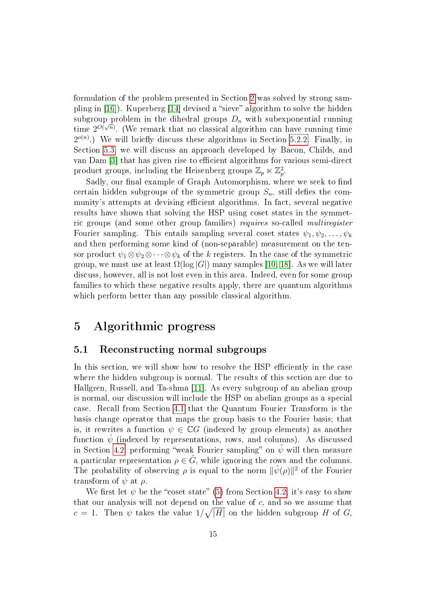formulation of the problem presented in Section [2](#page-1-0) was solved by strong sampling in  $[16]$ . Kuperberg  $[14]$  devised a "sieve" algorithm to solve the hidden subgroup problem in the dihedral groups  $D_n$  with subexponential running time  $2^{O(\sqrt{n})}$ . (We remark that no classical algorithm can have running time  $2^{o(n)}$ .) We will briefly discuss these algorithms in Section [5.2.2.](#page-18-0) Finally, in Section [5.3,](#page-20-0) we will discuss an approach developed by Bacon, Childs, and van Dam [\[3\]](#page-21-2) that has given rise to efficient algorithms for various semi-direct product groups, including the Heisenberg groups  $\mathbb{Z}_p \ltimes \mathbb{Z}_p^2$ .

Sadly, our final example of Graph Automorphism, where we seek to find certain hidden subgroups of the symmetric group  $S_n$ , still defies the community's attempts at devising efficient algorithms. In fact, several negative results have shown that solving the HSP using coset states in the symmetric groups (and some other group families) requires so-called multiregister Fourier sampling. This entails sampling several coset states  $\psi_1, \psi_2, \ldots, \psi_k$ and then performing some kind of (non-separable) measurement on the tensor product  $\psi_1 \otimes \psi_2 \otimes \cdots \otimes \psi_k$  of the k registers. In the case of the symmetric group, we must use at least  $\Omega(\log |G|)$  many samples [\[10,](#page-22-6) [18\]](#page-22-7). As we will later discuss, however, all is not lost even in this area. Indeed, even for some group families to which these negative results apply, there are quantum algorithms which perform better than any possible classical algorithm.

### <span id="page-14-0"></span>5 Algorithmic progress

#### 5.1 Reconstructing normal subgroups

In this section, we will show how to resolve the HSP efficiently in the case where the hidden subgroup is normal. The results of this section are due to Hallgren, Russell, and Ta-shma [\[11\]](#page-22-8). As every subgroup of an abelian group is normal, our discussion will include the HSP on abelian groups as a special case. Recall from Section [4.1](#page-8-1) that the Quantum Fourier Transform is the basis change operator that maps the group basis to the Fourier basis; that is, it rewrites a function  $\psi \in \mathbb{C}G$  (indexed by group elements) as another function  $\hat{\psi}$  (indexed by representations, rows, and columns). As discussed in Section [4.2,](#page-11-0) performing "weak Fourier sampling" on  $\psi$  will then measure a particular representation  $\rho \in \widehat{G}$ , while ignoring the rows and the columns. The probability of observing  $\rho$  is equal to the norm  $\|\hat{\psi}(\rho)\|^2$  of the Fourier transform of  $\psi$  at  $\rho$ .

We first let  $\psi$  be the "coset state" [\(5\)](#page-12-2) from Section [4.2;](#page-11-0) it's easy to show that our analysis will not depend on the value of  $c$ , and so we assume that  $c=1$ . Then  $\psi$  takes the value  $1/\sqrt{|H|}$  on the hidden subgroup H of G,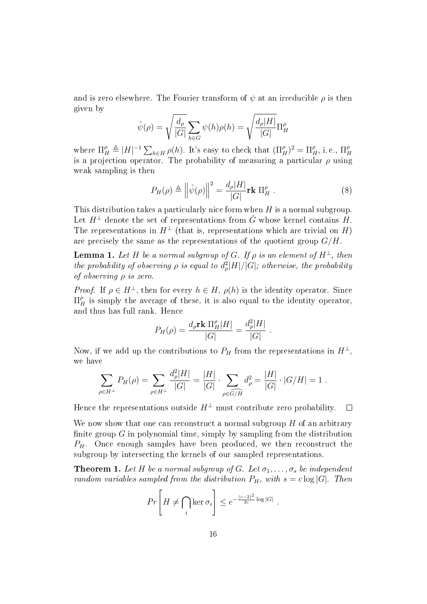and is zero elsewhere. The Fourier transform of  $\psi$  at an irreducible  $\rho$  is then given by

$$
\hat{\psi}(\rho) = \sqrt{\frac{d_{\rho}}{|G|}} \sum_{h \in G} \psi(h)\rho(h) = \sqrt{\frac{d_{\rho}|H|}{|G|}} \Pi_{H}^{\rho}
$$

where  $\Pi_H^{\rho} \triangleq |H|^{-1} \sum_{h \in H} \rho(h)$ . It's easy to check that  $(\Pi_H^{\rho})^2 = \Pi_H^{\rho}$ , i.e.,  $\Pi_H^{\rho}$ H is a projection operator. The probability of measuring a particular  $\rho$  using weak sampling is then

<span id="page-15-2"></span>
$$
P_H(\rho) \triangleq \left\| \hat{\psi}(\rho) \right\|^2 = \frac{d_{\rho}|H|}{|G|} \mathbf{rk} \Pi_H^{\rho} . \tag{8}
$$

This distribution takes a particularly nice form when  $H$  is a normal subgroup. Let  $H^{\perp}$  denote the set of representations from  $\hat{G}$  whose kernel contains H. The representations in  $H^{\perp}$  (that is, representations which are trivial on H) are precisely the same as the representations of the quotient group  $G/H$ .

<span id="page-15-0"></span>**Lemma 1.** Let H be a normal subgroup of G. If  $\rho$  is an element of  $H^{\perp}$ , then the probability of observing  $\rho$  is equal to  $d_{\rho}^2|H|/|G|$ ; otherwise, the probability of observing ρ is zero.

*Proof.* If  $\rho \in H^{\perp}$ , then for every  $h \in H$ ,  $\rho(h)$  is the identity operator. Since  $\Pi_{H}^{\rho}$  is simply the average of these, it is also equal to the identity operator, and thus has full rank. Hence

$$
P_H(\rho) = \frac{d_{\rho} \mathbf{rk} \, \Pi_H^{\rho} |H|}{|G|} = \frac{d_{\rho}^2 |H|}{|G|} \; .
$$

Now, if we add up the contributions to  $P_H$  from the representations in  $H^{\perp}$ , we have

$$
\sum_{\rho \in H^{\perp}} P_H(\rho) = \sum_{\rho \in H^{\perp}} \frac{d_{\rho}^2 |H|}{|G|} = \frac{|H|}{|G|} \cdot \sum_{\rho \in \widehat{G/H}} d_{\rho}^2 = \frac{|H|}{|G|} \cdot |G/H| = 1.
$$

Hence the representations outside  $H^{\perp}$  must contribute zero probability.  $\Box$ 

We now show that one can reconstruct a normal subgroup  $H$  of an arbitrary finite group  $G$  in polynomial time, simply by sampling from the distribution  $P_H$ . Once enough samples have been produced, we then reconstruct the subgroup by intersecting the kernels of our sampled representations.

<span id="page-15-1"></span>**Theorem 1.** Let H be a normal subgroup of G. Let  $\sigma_1, \ldots, \sigma_s$  be independent random variables sampled from the distribution  $P_H$ , with  $s = c \log |G|$ . Then

$$
Pr\left[H \neq \bigcap_{i} \ker \sigma_{i}\right] \leq e^{-\frac{(c-2)^{2}}{2c}\log|G|}.
$$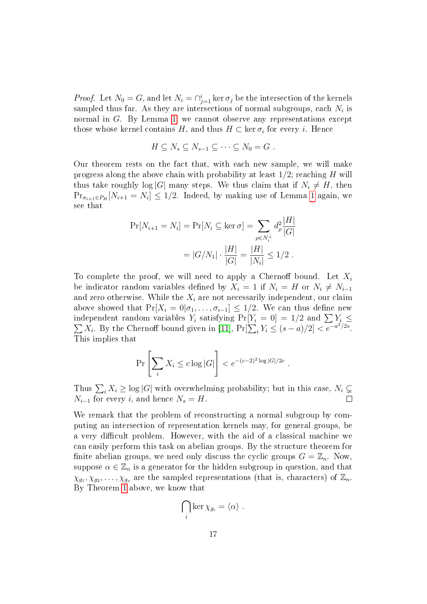*Proof.* Let  $N_0 = G$ , and let  $N_i = \bigcap_{j=1}^i \ker \sigma_j$  be the intersection of the kernels sampled thus far. As they are intersections of normal subgroups, each  $N_i$  is normal in G. By Lemma [1,](#page-15-0) we cannot observe any representations except those whose kernel contains  $H,$  and thus  $H \subset \ker \sigma_i$  for every  $i.$  Hence

$$
H \subseteq N_s \subseteq N_{s-1} \subseteq \cdots \subseteq N_0 = G .
$$

Our theorem rests on the fact that, with each new sample, we will make progress along the above chain with probability at least  $1/2$ ; reaching H will thus take roughly  $\log|G|$  many steps. We thus claim that if  $N_i \neq H$ , then  $\Pr_{\sigma_{i+1} \in P_H}[N_{i+1} = N_i] \leq 1/2$  $\Pr_{\sigma_{i+1} \in P_H}[N_{i+1} = N_i] \leq 1/2$  $\Pr_{\sigma_{i+1} \in P_H}[N_{i+1} = N_i] \leq 1/2$ . Indeed, by making use of Lemma 1 again, we see that

$$
\Pr[N_{i+1} = N_i] = \Pr[N_i \subseteq \ker \sigma] = \sum_{\rho \in N_i^{\perp}} d_{\rho}^2 \frac{|H|}{|G|}
$$

$$
= |G/N_1| \cdot \frac{|H|}{|G|} = \frac{|H|}{|N_i|} \le 1/2.
$$

To complete the proof, we will need to apply a Chernoff bound. Let  $X_i$ be indicator random variables defined by  $X_i = 1$  if  $N_i = H$  or  $N_i \neq N_{i-1}$ and zero otherwise. While the  $X_i$  are not necessarily independent, our claim above showed that  $Pr[X_i = 0 | \sigma_1, \ldots, \sigma_{i-1}] \leq 1/2$ . We can thus define new independent random variables  $Y_i$  satisfying  $\Pr[Y_i = 0] = 1/2$  and  $\sum Y_i \leq$  $\sum X_i$ . By the Chernoff bound given in [\[11\]](#page-22-8),  $\Pr[\sum_i Y_i \le (s-a)/2] < e^{-a^2/2s}$ . This implies that

$$
\Pr\left[\sum_i X_i \le c \log |G|\right] < e^{-(c-2)^2 \log |G|/2c} \, .
$$

Thus  $\sum_i X_i \geq \log |G|$  with overwhelming probability; but in this case,  $N_i \subsetneq$  $N_{i-1}$  for every i, and hence  $N_s = H$ .

We remark that the problem of reconstructing a normal subgroup by computing an intersection of representation kernels may, for general groups, be a very difficult problem. However, with the aid of a classical machine we can easily perform this task on abelian groups. By the structure theorem for finite abelian groups, we need only discuss the cyclic groups  $G = \mathbb{Z}_n$ . Now, suppose  $\alpha \in \mathbb{Z}_n$  is a generator for the hidden subgroup in question, and that  $\chi_{g_1}, \chi_{g_2}, \ldots, \chi_{g_s}$  are the sampled representations (that is, characters) of  $\mathbb{Z}_n$ . By Theorem [1](#page-15-1) above, we know that

$$
\bigcap_i \ker \chi_{g_i} = \langle \alpha \rangle \ .
$$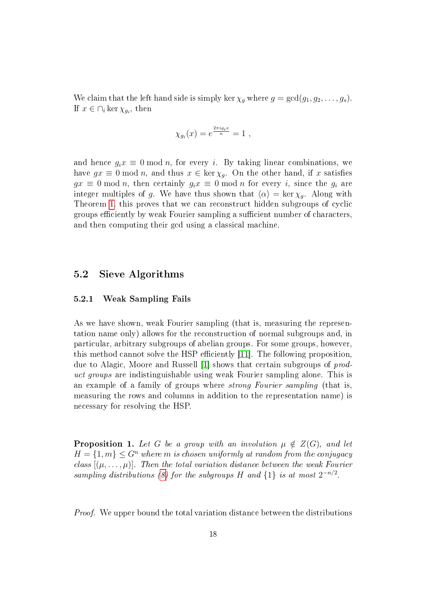We claim that the left hand side is simply ker  $\chi_g$  where  $g = \gcd(g_1, g_2, \ldots, g_s)$ . If  $x \in \bigcap_i \ker \chi_{g_i}$ , then

$$
\chi_{g_i}(x) = e^{\frac{2\pi i g_i x}{n}} = 1 ,
$$

and hence  $g_i x \equiv 0 \mod n$ , for every i. By taking linear combinations, we have  $gx \equiv 0 \mod n$ , and thus  $x \in \ker \chi_q$ . On the other hand, if x satisfies  $gx \equiv 0 \mod n$ , then certainly  $g_i x \equiv 0 \mod n$  for every i, since the  $g_i$  are integer multiples of g. We have thus shown that  $\langle \alpha \rangle = \ker \chi_g$ . Along with Theorem [1,](#page-15-1) this proves that we can reconstruct hidden subgroups of cyclic groups efficiently by weak Fourier sampling a sufficient number of characters. and then computing their gcd using a classical machine.

### 5.2 Sieve Algorithms

#### 5.2.1 Weak Sampling Fails

As we have shown, weak Fourier sampling (that is, measuring the representation name only) allows for the reconstruction of normal subgroups and, in particular, arbitrary subgroups of abelian groups. For some groups, however, this method cannot solve the HSP efficiently [\[11\]](#page-22-8). The following proposition, due to Alagic, Moore and Russell [\[1\]](#page-21-3) shows that certain subgroups of product groups are indistinguishable using weak Fourier sampling alone. This is an example of a family of groups where *strong Fourier sampling* (that is, measuring the rows and columns in addition to the representation name) is necessary for resolving the HSP.

**Proposition 1.** Let G be a group with an involution  $\mu \notin Z(G)$ , and let  $H = \{1, m\} \leq G^n$  where m is chosen uniformly at random from the conjugacy class  $[(\mu, \ldots, \mu)]$ . Then the total variation distance between the weak Fourier sampling distributions [\(8\)](#page-15-2) for the subgroups H and  $\{1\}$  is at most  $2^{-n/2}$ .

*Proof.* We upper bound the total variation distance between the distributions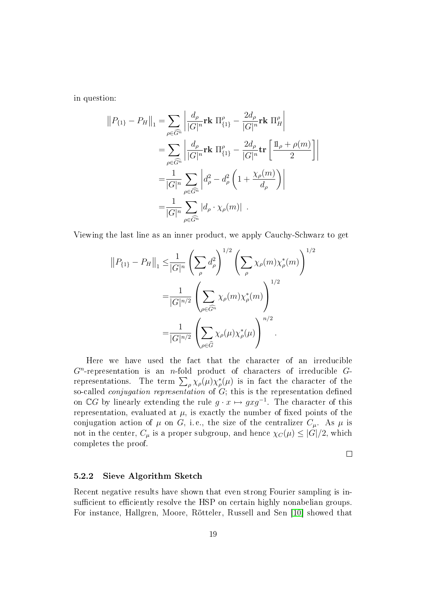in question:

$$
||P_{\{1\}} - P_H||_1 = \sum_{\rho \in \widehat{G}^n} \left| \frac{d_{\rho}}{|G|^n} \mathbf{rk} \Pi_{\{1\}}^{\rho} - \frac{2d_{\rho}}{|G|^n} \mathbf{rk} \Pi_H^{\rho} \right|
$$
  
\n
$$
= \sum_{\rho \in \widehat{G}^n} \left| \frac{d_{\rho}}{|G|^n} \mathbf{rk} \Pi_{\{1\}}^{\rho} - \frac{2d_{\rho}}{|G|^n} \mathbf{tr} \left[ \frac{\mathbb{1}_{\rho} + \rho(m)}{2} \right] \right|
$$
  
\n
$$
= \frac{1}{|G|^n} \sum_{\rho \in \widehat{G}^n} \left| d_{\rho}^2 - d_{\rho}^2 \left( 1 + \frac{\chi_{\rho}(m)}{d_{\rho}} \right) \right|
$$
  
\n
$$
= \frac{1}{|G|^n} \sum_{\rho \in \widehat{G}^n} |d_{\rho} \cdot \chi_{\rho}(m)| .
$$

Viewing the last line as an inner product, we apply Cauchy-Schwarz to get

$$
||P_{\{1\}} - P_H||_1 \leq \frac{1}{|G|^n} \left(\sum_{\rho} d_{\rho}^2\right)^{1/2} \left(\sum_{\rho} \chi_{\rho}(m) \chi_{\rho}^*(m)\right)^{1/2}
$$
  

$$
= \frac{1}{|G|^{n/2}} \left(\sum_{\rho \in \widehat{G}^n} \chi_{\rho}(m) \chi_{\rho}^*(m)\right)^{1/2}
$$
  

$$
= \frac{1}{|G|^{n/2}} \left(\sum_{\rho \in \widehat{G}} \chi_{\rho}(\mu) \chi_{\rho}^*(\mu)\right)^{n/2}.
$$

Here we have used the fact that the character of an irreducible  $G<sup>n</sup>$ -representation is an *n*-fold product of characters of irreducible  $G$ representations. The term  $\sum_{\rho} \chi_{\rho}(\mu) \chi_{\rho}^*(\mu)$  is in fact the character of the so-called *conjugation representation* of  $G$ ; this is the representation defined on  $\mathbb{C}G$  by linearly extending the rule  $g \cdot x \mapsto gxg^{-1}$ . The character of this representation, evaluated at  $\mu$ , is exactly the number of fixed points of the conjugation action of  $\mu$  on G, i.e., the size of the centralizer  $C_{\mu}$ . As  $\mu$  is not in the center,  $C_{\mu}$  is a proper subgroup, and hence  $\chi_C(\mu) \leq |G|/2$ , which completes the proof.

 $\Box$ 

#### <span id="page-18-0"></span>5.2.2 Sieve Algorithm Sketch

Recent negative results have shown that even strong Fourier sampling is insufficient to efficiently resolve the HSP on certain highly nonabelian groups. For instance, Hallgren, Moore, Rötteler, Russell and Sen [\[10\]](#page-22-6) showed that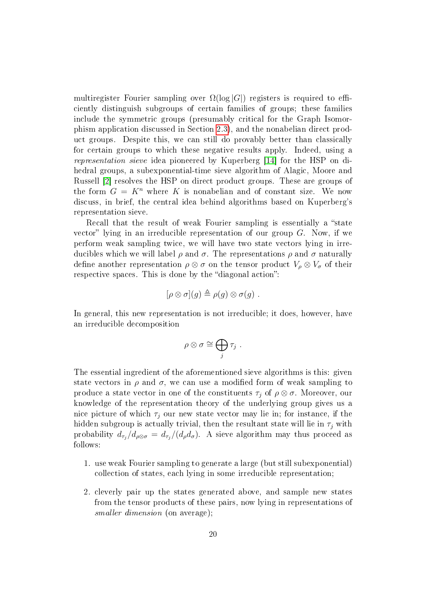multiregister Fourier sampling over  $\Omega(\log|G|)$  registers is required to efficiently distinguish subgroups of certain families of groups; these families include the symmetric groups (presumably critical for the Graph Isomorphism application discussed in Section [2.3\)](#page-4-0), and the nonabelian direct product groups. Despite this, we can still do provably better than classically for certain groups to which these negative results apply. Indeed, using a representation sieve idea pioneered by Kuperberg [\[14\]](#page-22-5) for the HSP on dihedral groups, a subexponential-time sieve algorithm of Alagic, Moore and Russell [\[2\]](#page-21-4) resolves the HSP on direct product groups. These are groups of the form  $G = K^n$  where K is nonabelian and of constant size. We now discuss, in brief, the central idea behind algorithms based on Kuperberg's representation sieve.

Recall that the result of weak Fourier sampling is essentially a "state" vector" lying in an irreducible representation of our group  $G$ . Now, if we perform weak sampling twice, we will have two state vectors lying in irreducibles which we will label  $\rho$  and  $\sigma$ . The representations  $\rho$  and  $\sigma$  naturally define another representation  $\rho \otimes \sigma$  on the tensor product  $V_{\rho} \otimes V_{\sigma}$  of their respective spaces. This is done by the "diagonal action":

$$
[\rho \otimes \sigma](g) \triangleq \rho(g) \otimes \sigma(g) .
$$

In general, this new representation is not irreducible; it does, however, have an irreducible decomposition

$$
\rho\otimes\sigma\cong\bigoplus_j\tau_j\ .
$$

The essential ingredient of the aforementioned sieve algorithms is this: given state vectors in  $\rho$  and  $\sigma$ , we can use a modified form of weak sampling to produce a state vector in one of the constituents  $\tau_i$  of  $\rho \otimes \sigma$ . Moreover, our knowledge of the representation theory of the underlying group gives us a nice picture of which  $\tau_i$  our new state vector may lie in; for instance, if the hidden subgroup is actually trivial, then the resultant state will lie in  $\tau_j$  with probability  $d_{\tau_j}/d_{\rho\otimes\sigma} = d_{\tau_j}/(d_{\rho}d_{\sigma})$ . A sieve algorithm may thus proceed as follows:

- 1. use weak Fourier sampling to generate a large (but still subexponential) collection of states, each lying in some irreducible representation;
- 2. cleverly pair up the states generated above, and sample new states from the tensor products of these pairs, now lying in representations of smaller dimension (on average);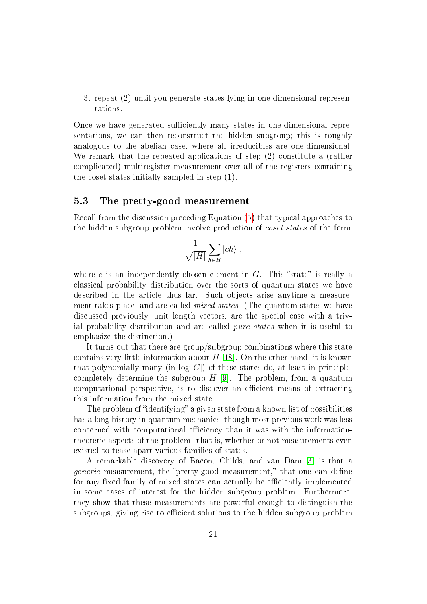3. repeat (2) until you generate states lying in one-dimensional representations.

Once we have generated sufficiently many states in one-dimensional representations, we can then reconstruct the hidden subgroup; this is roughly analogous to the abelian case, where all irreducibles are one-dimensional. We remark that the repeated applications of step (2) constitute a (rather complicated) multiregister measurement over all of the registers containing the coset states initially sampled in step (1).

### <span id="page-20-0"></span>5.3 The pretty-good measurement

Recall from the discussion preceding Equation [\(5\)](#page-12-2) that typical approaches to the hidden subgroup problem involve production of coset states of the form

$$
\frac{1}{\sqrt{|H|}}\sum_{h\in H} |ch\rangle\ ,
$$

where c is an independently chosen element in  $G$ . This "state" is really a classical probability distribution over the sorts of quantum states we have described in the article thus far. Such objects arise anytime a measurement takes place, and are called mixed states. (The quantum states we have discussed previously, unit length vectors, are the special case with a trivial probability distribution and are called *pure states* when it is useful to emphasize the distinction.)

It turns out that there are group/subgroup combinations where this state contains very little information about  $H$  [\[18\]](#page-22-7). On the other hand, it is known that polynomially many (in  $log |G|$ ) of these states do, at least in principle. completely determine the subgroup  $H$  [\[9\]](#page-22-9). The problem, from a quantum computational perspective, is to discover an efficient means of extracting this information from the mixed state.

The problem of "identifying" a given state from a known list of possibilities has a long history in quantum mechanics, though most previous work was less concerned with computational efficiency than it was with the informationtheoretic aspects of the problem: that is, whether or not measurements even existed to tease apart various families of states.

A remarkable discovery of Bacon, Childs, and van Dam [\[3\]](#page-21-2) is that a *generic* measurement, the "pretty-good measurement," that one can define for any fixed family of mixed states can actually be efficiently implemented in some cases of interest for the hidden subgroup problem. Furthermore, they show that these measurements are powerful enough to distinguish the subgroups, giving rise to efficient solutions to the hidden subgroup problem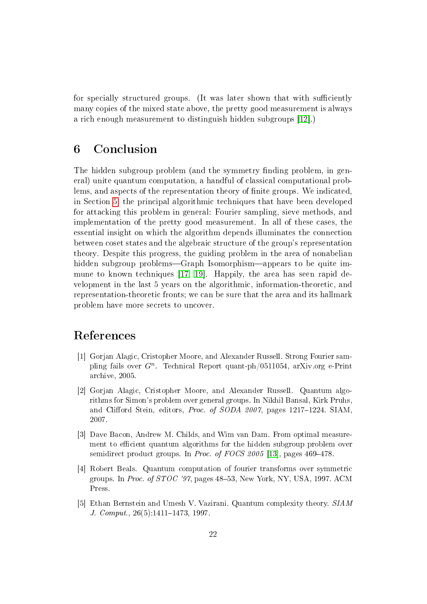for specially structured groups. (It was later shown that with sufficiently many copies of the mixed state above, the pretty good measurement is always a rich enough measurement to distinguish hidden subgroups [\[12\]](#page-22-10).)

# 6 Conclusion

The hidden subgroup problem (and the symmetry finding problem, in general) unite quantum computation, a handful of classical computational problems, and aspects of the representation theory of finite groups. We indicated, in Section [5,](#page-14-0) the principal algorithmic techniques that have been developed for attacking this problem in general: Fourier sampling, sieve methods, and implementation of the pretty good measurement. In all of these cases, the essential insight on which the algorithm depends illuminates the connection between coset states and the algebraic structure of the group's representation theory. Despite this progress, the guiding problem in the area of nonabelian hidden subgroup problems—Graph Isomorphism—appears to be quite immune to known techniques [\[17,](#page-22-11) [19\]](#page-23-3). Happily, the area has seen rapid development in the last 5 years on the algorithmic, information-theoretic, and representation-theoretic fronts; we can be sure that the area and its hallmark problem have more secrets to uncover.

# References

- <span id="page-21-3"></span>[1] Gorjan Alagic, Cristopher Moore, and Alexander Russell. Strong Fourier sampling fails over  $G^n$ . Technical Report quant-ph/0511054, arXiv.org e-Print archive, 2005.
- <span id="page-21-4"></span>[2] Gorjan Alagic, Cristopher Moore, and Alexander Russell. Quantum algorithms for Simon's problem over general groups. In Nikhil Bansal, Kirk Pruhs, and Clifford Stein, editors, *Proc. of SODA 2007*, pages  $1217-1224$ . SIAM. 2007.
- <span id="page-21-2"></span>[3] Dave Bacon, Andrew M. Childs, and Wim van Dam. From optimal measurement to efficient quantum algorithms for the hidden subgroup problem over semidirect product groups. In Proc. of FOCS 2005 [\[13\]](#page-22-12), pages  $469-478$ .
- <span id="page-21-1"></span>[4] Robert Beals. Quantum computation of fourier transforms over symmetric groups. In *Proc. of STOC '97*, pages  $48-53$ , New York, NY, USA, 1997. ACM Press.
- <span id="page-21-0"></span>[5] Ethan Bernstein and Umesh V. Vazirani. Quantum complexity theory. SIAM J. Comput.,  $26(5):1411-1473$ , 1997.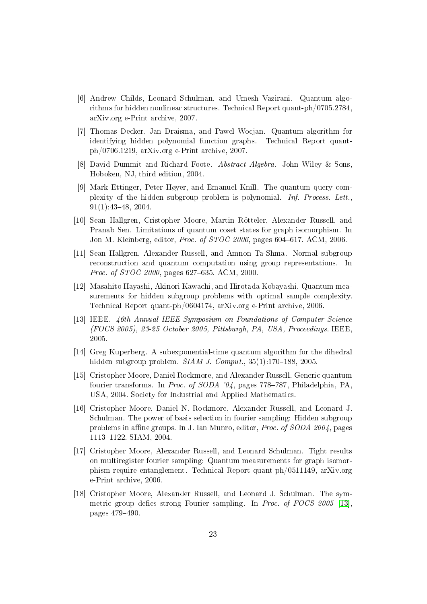- <span id="page-22-0"></span>[6] Andrew Childs, Leonard Schulman, and Umesh Vazirani. Quantum algorithms for hidden nonlinear structures. Technical Report quant-ph/0705.2784, arXiv.org e-Print archive, 2007.
- <span id="page-22-1"></span>[7] Thomas Decker, Jan Draisma, and Pawel Wocjan. Quantum algorithm for identifying hidden polynomial function graphs. Technical Report quantph/0706.1219, arXiv.org e-Print archive, 2007.
- <span id="page-22-2"></span>[8] David Dummit and Richard Foote. Abstract Algebra. John Wiley & Sons, Hoboken, NJ, third edition, 2004.
- <span id="page-22-9"></span>[9] Mark Ettinger, Peter Høyer, and Emanuel Knill. The quantum query complexity of the hidden subgroup problem is polynomial. Inf. Process. Lett., 91(1):4348, 2004.
- <span id="page-22-6"></span>[10] Sean Hallgren, Cristopher Moore, Martin Rötteler, Alexander Russell, and Pranab Sen. Limitations of quantum coset states for graph isomorphism. In Jon M. Kleinberg, editor, Proc. of STOC 2006, pages 604-617. ACM, 2006.
- <span id="page-22-8"></span>[11] Sean Hallgren, Alexander Russell, and Amnon Ta-Shma. Normal subgroup reconstruction and quantum computation using group representations. In Proc. of STOC 2000, pages 627–635. ACM, 2000.
- <span id="page-22-10"></span>[12] Masahito Hayashi, Akinori Kawachi, and Hirotada Kobayashi. Quantum measurements for hidden subgroup problems with optimal sample complexity. Technical Report quant-ph/0604174, arXiv.org e-Print archive, 2006.
- <span id="page-22-12"></span>[13] IEEE. 46th Annual IEEE Symposium on Foundations of Computer Science (FOCS 2005), 23-25 October 2005, Pittsburgh, PA, USA, Proceedings. IEEE, 2005.
- <span id="page-22-5"></span>[14] Greg Kuperberg. A subexponential-time quantum algorithm for the dihedral hidden subgroup problem.  $SIAM$  J. Comput.,  $35(1):170-188$ , 2005.
- <span id="page-22-3"></span>[15] Cristopher Moore, Daniel Rockmore, and Alexander Russell. Generic quantum fourier transforms. In Proc. of SODA '04, pages 778–787, Philadelphia, PA, USA, 2004. Society for Industrial and Applied Mathematics.
- <span id="page-22-4"></span>[16] Cristopher Moore, Daniel N. Rockmore, Alexander Russell, and Leonard J. Schulman. The power of basis selection in fourier sampling: Hidden subgroup problems in affine groups. In J. Ian Munro, editor, *Proc. of SODA 2004*, pages 11131122. SIAM, 2004.
- <span id="page-22-11"></span>[17] Cristopher Moore, Alexander Russell, and Leonard Schulman. Tight results on multiregister fourier sampling: Quantum measurements for graph isomorphism require entanglement. Technical Report quant-ph/0511149, arXiv.org e-Print archive, 2006.
- <span id="page-22-7"></span>[18] Cristopher Moore, Alexander Russell, and Leonard J. Schulman. The symmetric group defies strong Fourier sampling. In *Proc. of FOCS 2005* [\[13\]](#page-22-12), pages 479-490.